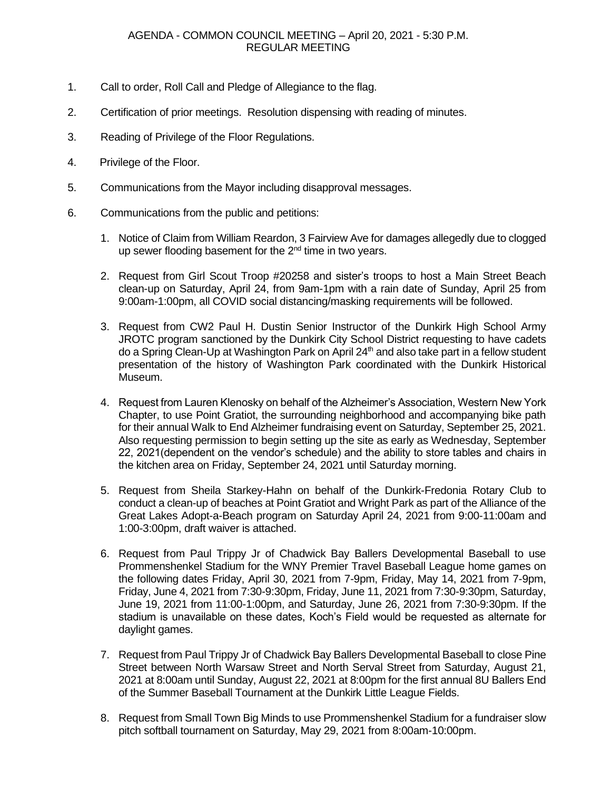- 1. Call to order, Roll Call and Pledge of Allegiance to the flag.
- 2. Certification of prior meetings. Resolution dispensing with reading of minutes.
- 3. Reading of Privilege of the Floor Regulations.
- 4. Privilege of the Floor.
- 5. Communications from the Mayor including disapproval messages.
- 6. Communications from the public and petitions:
	- 1. Notice of Claim from William Reardon, 3 Fairview Ave for damages allegedly due to clogged up sewer flooding basement for the  $2<sup>nd</sup>$  time in two years.
	- 2. Request from Girl Scout Troop #20258 and sister's troops to host a Main Street Beach clean-up on Saturday, April 24, from 9am-1pm with a rain date of Sunday, April 25 from 9:00am-1:00pm, all COVID social distancing/masking requirements will be followed.
	- 3. Request from CW2 Paul H. Dustin Senior Instructor of the Dunkirk High School Army JROTC program sanctioned by the Dunkirk City School District requesting to have cadets do a Spring Clean-Up at Washington Park on April 24<sup>th</sup> and also take part in a fellow student presentation of the history of Washington Park coordinated with the Dunkirk Historical Museum.
	- 4. Request from Lauren Klenosky on behalf of the Alzheimer's Association, Western New York Chapter, to use Point Gratiot, the surrounding neighborhood and accompanying bike path for their annual Walk to End Alzheimer fundraising event on Saturday, September 25, 2021. Also requesting permission to begin setting up the site as early as Wednesday, September 22, 2021(dependent on the vendor's schedule) and the ability to store tables and chairs in the kitchen area on Friday, September 24, 2021 until Saturday morning.
	- 5. Request from Sheila Starkey-Hahn on behalf of the Dunkirk-Fredonia Rotary Club to conduct a clean-up of beaches at Point Gratiot and Wright Park as part of the Alliance of the Great Lakes Adopt-a-Beach program on Saturday April 24, 2021 from 9:00-11:00am and 1:00-3:00pm, draft waiver is attached.
	- 6. Request from Paul Trippy Jr of Chadwick Bay Ballers Developmental Baseball to use Prommenshenkel Stadium for the WNY Premier Travel Baseball League home games on the following dates Friday, April 30, 2021 from 7-9pm, Friday, May 14, 2021 from 7-9pm, Friday, June 4, 2021 from 7:30-9:30pm, Friday, June 11, 2021 from 7:30-9:30pm, Saturday, June 19, 2021 from 11:00-1:00pm, and Saturday, June 26, 2021 from 7:30-9:30pm. If the stadium is unavailable on these dates, Koch's Field would be requested as alternate for daylight games.
	- 7. Request from Paul Trippy Jr of Chadwick Bay Ballers Developmental Baseball to close Pine Street between North Warsaw Street and North Serval Street from Saturday, August 21, 2021 at 8:00am until Sunday, August 22, 2021 at 8:00pm for the first annual 8U Ballers End of the Summer Baseball Tournament at the Dunkirk Little League Fields.
	- 8. Request from Small Town Big Minds to use Prommenshenkel Stadium for a fundraiser slow pitch softball tournament on Saturday, May 29, 2021 from 8:00am-10:00pm.